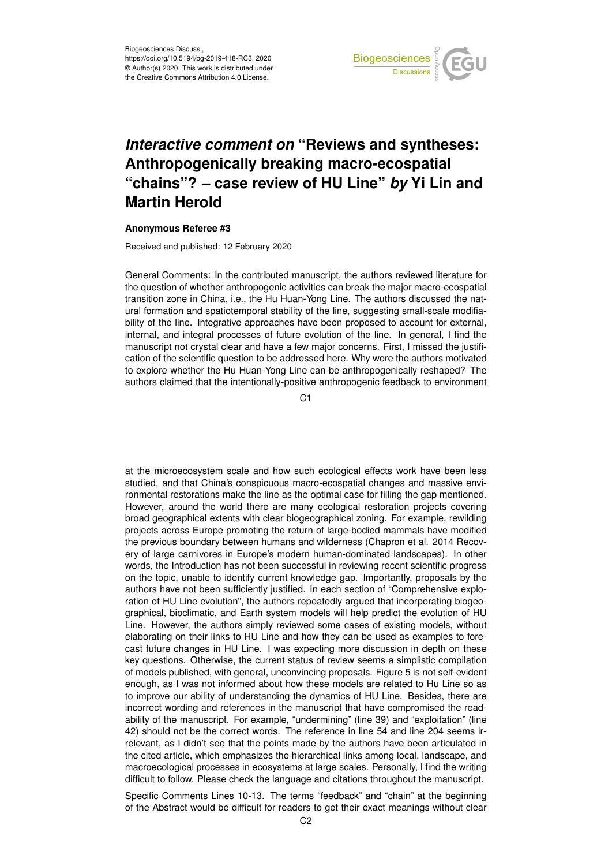

## *Interactive comment on* **"Reviews and syntheses: Anthropogenically breaking macro-ecospatial "chains"? – case review of HU Line"** *by* **Yi Lin and Martin Herold**

## **Anonymous Referee #3**

Received and published: 12 February 2020

General Comments: In the contributed manuscript, the authors reviewed literature for the question of whether anthropogenic activities can break the major macro-ecospatial transition zone in China, i.e., the Hu Huan-Yong Line. The authors discussed the natural formation and spatiotemporal stability of the line, suggesting small-scale modifiability of the line. Integrative approaches have been proposed to account for external, internal, and integral processes of future evolution of the line. In general, I find the manuscript not crystal clear and have a few major concerns. First, I missed the justification of the scientific question to be addressed here. Why were the authors motivated to explore whether the Hu Huan-Yong Line can be anthropogenically reshaped? The authors claimed that the intentionally-positive anthropogenic feedback to environment

C1

at the microecosystem scale and how such ecological effects work have been less studied, and that China's conspicuous macro-ecospatial changes and massive environmental restorations make the line as the optimal case for filling the gap mentioned. However, around the world there are many ecological restoration projects covering broad geographical extents with clear biogeographical zoning. For example, rewilding projects across Europe promoting the return of large-bodied mammals have modified the previous boundary between humans and wilderness (Chapron et al. 2014 Recovery of large carnivores in Europe's modern human-dominated landscapes). In other words, the Introduction has not been successful in reviewing recent scientific progress on the topic, unable to identify current knowledge gap. Importantly, proposals by the authors have not been sufficiently justified. In each section of "Comprehensive exploration of HU Line evolution", the authors repeatedly argued that incorporating biogeographical, bioclimatic, and Earth system models will help predict the evolution of HU Line. However, the authors simply reviewed some cases of existing models, without elaborating on their links to HU Line and how they can be used as examples to forecast future changes in HU Line. I was expecting more discussion in depth on these key questions. Otherwise, the current status of review seems a simplistic compilation of models published, with general, unconvincing proposals. Figure 5 is not self-evident enough, as I was not informed about how these models are related to Hu Line so as to improve our ability of understanding the dynamics of HU Line. Besides, there are incorrect wording and references in the manuscript that have compromised the readability of the manuscript. For example, "undermining" (line 39) and "exploitation" (line 42) should not be the correct words. The reference in line 54 and line 204 seems irrelevant, as I didn't see that the points made by the authors have been articulated in the cited article, which emphasizes the hierarchical links among local, landscape, and macroecological processes in ecosystems at large scales. Personally, I find the writing difficult to follow. Please check the language and citations throughout the manuscript.

Specific Comments Lines 10-13. The terms "feedback" and "chain" at the beginning of the Abstract would be difficult for readers to get their exact meanings without clear